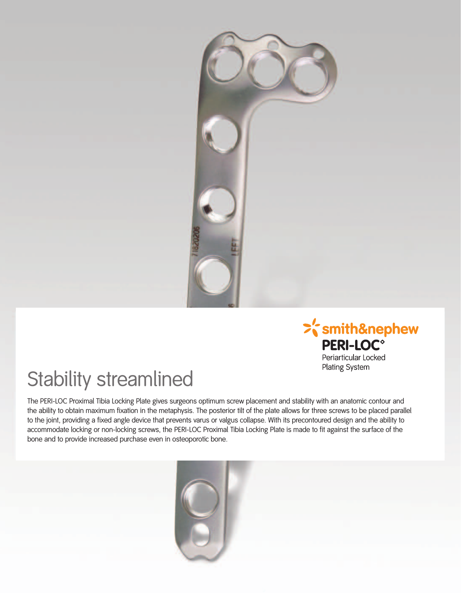



## Stability streamlined

The PERI-LOC Proximal Tibia Locking Plate gives surgeons optimum screw placement and stability with an anatomic contour and the ability to obtain maximum fixation in the metaphysis. The posterior tilt of the plate allows for three screws to be placed parallel to the joint, providing a fixed angle device that prevents varus or valgus collapse. With its precontoured design and the ability to accommodate locking or non-locking screws, the PERI-LOC Proximal Tibia Locking Plate is made to fit against the surface of the bone and to provide increased purchase even in osteoporotic bone.

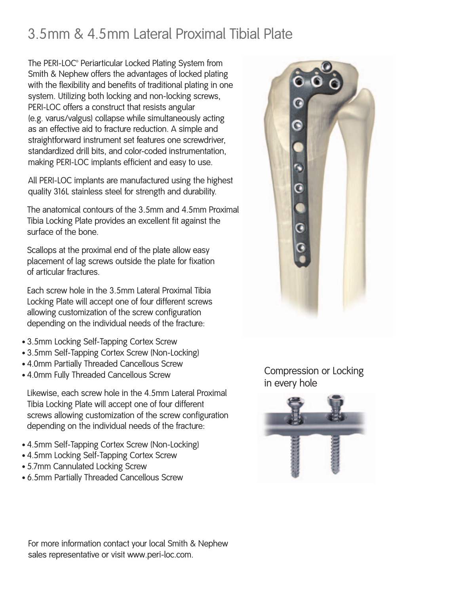## 3.5mm & 4.5mm Lateral Proximal Tibial Plate

The PERI-LOC<sup>®</sup> Periarticular Locked Plating System from Smith & Nephew offers the advantages of locked plating with the flexibility and benefits of traditional plating in one system. Utilizing both locking and non-locking screws, PERI-LOC offers a construct that resists angular (e.g. varus/valgus) collapse while simultaneously acting as an effective aid to fracture reduction. A simple and straightforward instrument set features one screwdriver, standardized drill bits, and color-coded instrumentation, making PERI-LOC implants efficient and easy to use.

All PERI-LOC implants are manufactured using the highest quality 316L stainless steel for strength and durability.

The anatomical contours of the 3.5mm and 4.5mm Proximal Tibia Locking Plate provides an excellent fit against the surface of the bone.

Scallops at the proximal end of the plate allow easy placement of lag screws outside the plate for fixation of articular fractures.

Each screw hole in the 3.5mm Lateral Proximal Tibia Locking Plate will accept one of four different screws allowing customization of the screw configuration depending on the individual needs of the fracture:

- 3.5mm Locking Self-Tapping Cortex Screw
- 3.5mm Self-Tapping Cortex Screw (Non-Locking)
- 4.0mm Partially Threaded Cancellous Screw
- 4.0mm Fully Threaded Cancellous Screw

Likewise, each screw hole in the 4.5mm Lateral Proximal Tibia Locking Plate will accept one of four different screws allowing customization of the screw configuration depending on the individual needs of the fracture:

- 4.5mm Self-Tapping Cortex Screw (Non-Locking)
- 4.5mm Locking Self-Tapping Cortex Screw
- 5.7mm Cannulated Locking Screw
- 6.5mm Partially Threaded Cancellous Screw



Compression or Locking in every hole



For more information contact your local Smith & Nephew sales representative or visit www.peri-loc.com.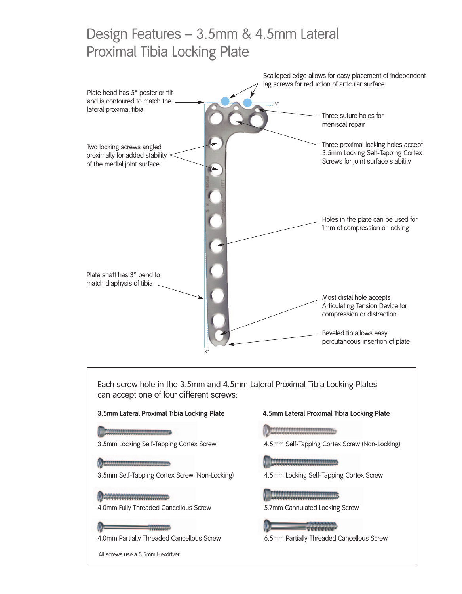## Design Features – 3.5mm & 4.5mm Lateral Proximal Tibia Locking Plate



6.5mm Partially Threaded Cancellous Screw

All screws use a 3.5mm Hexdriver.

4.0mm Partially Threaded Cancellous Screw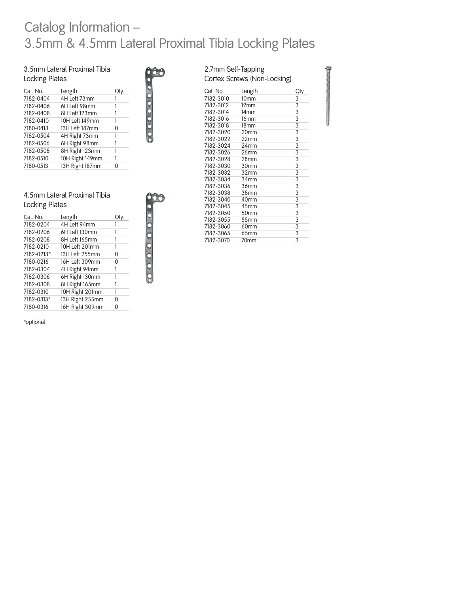### Catalog Information – 3.5mm & 4.5mm Lateral Proximal Tibia Locking Plates

3.5mm Lateral Proximal Tibia Locking Plates

| Cat. No.  | Length          |   |
|-----------|-----------------|---|
| 7182-0404 | 4H Left 73mm    |   |
| 7182-0406 | 6H Left 98mm    |   |
| 7182-0408 | 8H Left 123mm   |   |
| 7182-0410 | 10H Left 149mm  |   |
| 7180-0413 | 13H Left 187mm  | ი |
| 7182-0504 | 4H Right 73mm   |   |
| 7182-0506 | 6H Right 98mm   |   |
| 7182-0508 | 8H Right 123mm  |   |
| 7182-0510 | 10H Right 149mm |   |
| 7180-0513 | 13H Right 187mm | O |
|           |                 |   |



#### 4.5mm Lateral Proximal Tibia Locking Plates

| Cat. No.   | Length          |   |
|------------|-----------------|---|
| 7182-0204  | 4H Left 94mm    |   |
| 7182-0206  | 6H Left 130mm   | 1 |
| 7182-0208  | 8H Left 165mm   | 1 |
| 7182-0210  | 10H Left 201mm  | 1 |
| 7182-0213* | 13H Left 255mm  | 0 |
| 7180-0216  | 16H Left 309mm  | 0 |
| 7182-0304  | 4H Right 94mm   | 1 |
| 7182-0306  | 6H Right 130mm  | 1 |
| 7182-0308  | 8H Right 165mm  | 1 |
| 7182-0310  | 10H Right 201mm | 1 |
| 7182-0313* | 13H Right 255mm | 0 |
| 7180-0316  | 16H Right 309mm | 0 |

\*optional

#### 2.7mm Self-Tapping Cortex Screws (Non-Locking)

| Cat. No.  | Length           | Oty. |
|-----------|------------------|------|
| 7182-3010 | 10 <sub>mm</sub> | 3    |
| 7182-3012 | $12 \text{mm}$   | 3    |
| 7182-3014 | 14mm             | 3    |
| 7182-3016 | 16 <sub>mm</sub> | 3    |
| 7182-3018 | 18 <sub>mm</sub> | 3    |
| 7182-3020 | 20mm             | 3    |
| 7182-3022 | 22mm             | 3    |
| 7182-3024 | 24mm             | 3    |
| 7182-3026 | 26mm             | 3    |
| 7182-3028 | 28 <sub>mm</sub> | 3    |
| 7182-3030 | 30mm             | 3    |
| 7182-3032 | 32mm             | 3    |
| 7182-3034 | 34mm             | 3    |
| 7182-3036 | 36mm             | 3    |
| 7182-3038 | 38mm             | 3    |
| 7182-3040 | 40mm             | 3    |
| 7182-3045 | 45mm             | 3    |
| 7182-3050 | 50 <sub>mm</sub> | 3    |
| 7182-3055 | 55mm             | 3    |
| 7182-3060 | 60mm             | 3    |
| 7182-3065 | 65mm             | 3    |
| 7182-3070 | 70mm             | 3    |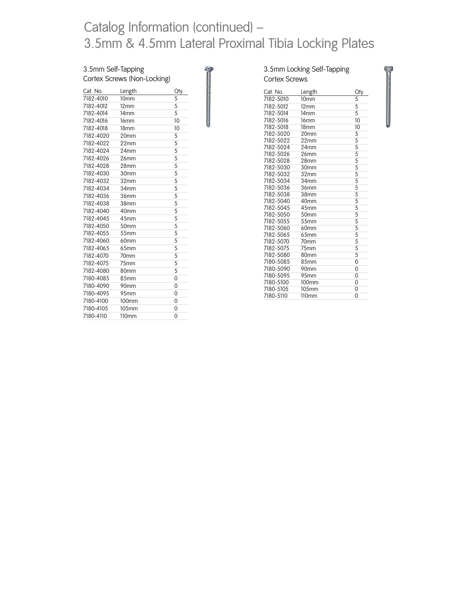## Catalog Information (continued) – 3.5mm & 4.5mm Lateral Proximal Tibia Locking Plates

#### 3.5mm Self-Tapping Cortex Screws (Non-Locking)

| Cat. No.  | Length            | Oty.           |
|-----------|-------------------|----------------|
| 7182-4010 | 10 <sub>mm</sub>  | 5              |
| 7182-4012 | 12 <sub>mm</sub>  | 5              |
| 7182-4014 | 14mm              | 5              |
| 7182-4016 | 16 <sub>mm</sub>  | 10             |
| 7182-4018 | 18 <sub>mm</sub>  | 10             |
| 7182-4020 | 20mm              | 5              |
| 7182-4022 | 22mm              | 5              |
| 7182-4024 | 24mm              | 5              |
| 7182-4026 | 26mm              | 5              |
| 7182-4028 | 28mm              | 5              |
| 7182-4030 | 30mm              | 5              |
| 7182-4032 | 32 <sub>mm</sub>  | 5              |
| 7182-4034 | 34mm              | 5              |
| 7182-4036 | 36mm              | 5              |
| 7182-4038 | 38mm              | 5              |
| 7182-4040 | 40 <sub>mm</sub>  | 5              |
| 7182-4045 | 45 <sub>mm</sub>  | 5              |
| 7182-4050 | 50 <sub>mm</sub>  | 5              |
| 7182-4055 | 55mm              | 5              |
| 7182-4060 | 60 <sub>mm</sub>  | 5              |
| 7182-4065 | 65 <sub>mm</sub>  | 5              |
| 7182-4070 | 70 <sub>mm</sub>  | 5              |
| 7182-4075 | 75mm              | 5              |
| 7182-4080 | 80mm              | 5              |
| 7180-4085 | 85mm              | $\overline{0}$ |
| 7180-4090 | 90mm              | $\overline{0}$ |
| 7180-4095 | 95 <sub>mm</sub>  | 0              |
| 7180-4100 | 100 <sub>mm</sub> | 0              |
| 7180-4105 | 105mm             | $\overline{0}$ |
| 7180-4110 | 110mm             | 0              |
|           |                   |                |

| Cat. No.  | Length            | Qty.           |
|-----------|-------------------|----------------|
| 7182-5010 | 10 <sub>mm</sub>  | 5              |
| 7182-5012 | 12mm              | 5              |
| 7182-5014 | 14 <sub>mm</sub>  | 5              |
| 7182-5016 | 16mm              | 10             |
| 7182-5018 | 18 <sub>mm</sub>  | 10             |
| 7182-5020 | 20mm              | 5              |
| 7182-5022 | 22mm              | 5              |
| 7182-5024 | 24mm              | 5              |
| 7182-5026 | 26mm              | 5              |
| 7182-5028 | 28mm              | 5              |
| 7182-5030 | 30mm              | 5              |
| 7182-5032 | 32mm              | $rac{5}{5}$    |
| 7182-5034 | 34mm              |                |
| 7182-5036 | 36mm              | 5              |
| 7182-5038 | 38mm              | 5              |
| 7182-5040 | 40mm              | $rac{5}{5}$    |
| 7182-5045 | 45mm              |                |
| 7182-5050 | 50mm              | 5              |
| 7182-5055 | 55mm              | 5              |
| 7182-5060 | 60mm              | $rac{5}{5}$    |
| 7182-5065 | 65mm              |                |
| 7182-5070 | 70 <sub>mm</sub>  | 5              |
| 7182-5075 | 75 <sub>mm</sub>  | 5              |
| 7182-5080 | 80mm              | 5              |
| 7180-5085 | 85mm              | $\overline{0}$ |
| 7180-5090 | 90mm              | 0              |
| 7180-5095 | 95mm              | 0              |
| 7180-5100 | 100mm             | 0              |
| 7180-5105 | 105mm             | $\overline{0}$ |
| 7180-5110 | 110 <sub>mm</sub> | 0              |
|           |                   |                |

3.5mm Locking Self-Tapping

management of the state of the state of the state of the state of the state of the state of the state of the s<br>The state of the state of the state of the state of the state of the state of the state of the state of the st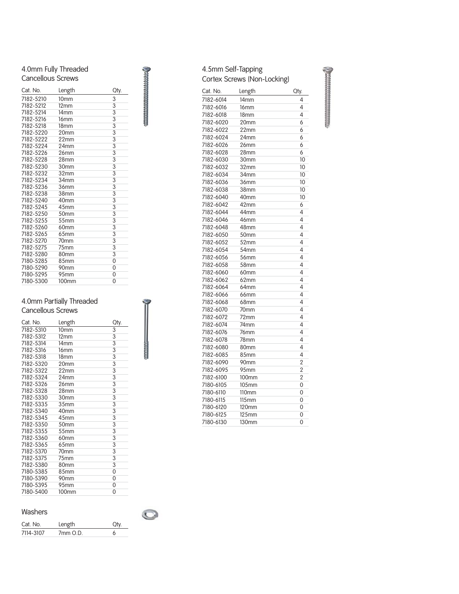#### 4.0mm Fully Threaded Cancellous Screws

| Cat. No.  | Length           | Oty. |
|-----------|------------------|------|
| 7182-5210 | 10 <sub>mm</sub> | 3    |
| 7182-5212 | 12 <sub>mm</sub> | 3    |
| 7182-5214 | 14 <sub>mm</sub> | 3    |
| 7182-5216 | 16 <sub>mm</sub> | 3    |
| 7182-5218 | 18 <sub>mm</sub> | 3    |
| 7182-5220 | 20mm             | 3    |
| 7182-5222 | 22 <sub>mm</sub> | 3    |
| 7182-5224 | 24mm             | 3    |
| 7182-5226 | 26mm             | 3    |
| 7182-5228 | 28mm             | 3    |
| 7182-5230 | 30mm             | 3    |
| 7182-5232 | 32mm             | 3    |
| 7182-5234 | 34mm             | 3    |
| 7182-5236 | 36mm             | 3    |
| 7182-5238 | 38mm             | 3    |
| 7182-5240 | 40mm             | 3    |
| 7182-5245 | 45mm             | 3    |
| 7182-5250 | 50mm             | 3    |
| 7182-5255 | 55mm             | 3    |
| 7182-5260 | 60mm             | 3    |
| 7182-5265 | 65mm             | 3    |
| 7182-5270 | 70mm             | 3    |
| 7182-5275 | 75mm             | 3    |
| 7182-5280 | 80mm             | 3    |
| 7180-5285 | 85mm             | 0    |
| 7180-5290 | 90mm             | 0    |
| 7180-5295 | 95mm             | 0    |
| 7180-5300 | 100mm            | 0    |

#### 4.0mm Partially Threaded Cancellous Screws

| Cat. No.  | Length           | Qty. |
|-----------|------------------|------|
| 7182-5310 | 10 <sub>mm</sub> | 3    |
| 7182-5312 | 12mm             | 3    |
| 7182-5314 | 14 <sub>mm</sub> | 3    |
| 7182-5316 | 16 <sub>mm</sub> | 3    |
| 7182-5318 | 18 <sub>mm</sub> | 3    |
| 7182-5320 | 20mm             | 3    |
| 7182-5322 | 22mm             | 3    |
| 7182-5324 | 24mm             | 3    |
| 7182-5326 | 26mm             | 3    |
| 7182-5328 | 28mm             | 3    |
| 7182-5330 | 30mm             | 3    |
| 7182-5335 | 35mm             | 3    |
| 7182-5340 | 40mm             | 3    |
| 7182-5345 | 45 <sub>mm</sub> | 3    |
| 7182-5350 | 50 <sub>mm</sub> | 3    |
| 7182-5355 | 55 <sub>mm</sub> | 3    |
| 7182-5360 | 60mm             | 3    |
| 7182-5365 | 65 <sub>mm</sub> | 3    |
| 7182-5370 | 70mm             | 3    |
| 7182-5375 | 75mm             | 3    |
| 7182-5380 | 80mm             | 3    |
| 7180-5385 | 85mm             | 0    |
| 7180-5390 | 90 <sub>mm</sub> | 0    |
| 7180-5395 | 95mm             | 0    |
| 7180-5400 | <b>100mm</b>     | 0    |

#### Washers

| Cat. No.  | Length           |  |
|-----------|------------------|--|
| 7114-3107 | $7mm$ $\Omega$ D |  |

 $\bigcirc$ 

#### 4.5mm Self-Tapping Cortex Screws (Non-Locking)

| Cat. No.  | Length           | Oty.           |
|-----------|------------------|----------------|
| 7182-6014 | 14 <sub>mm</sub> | 4              |
| 7182-6016 | 16 <sub>mm</sub> | 4              |
| 7182-6018 | 18 <sub>mm</sub> | 4              |
| 7182-6020 | 20mm             | 6              |
| 7182-6022 | 22mm             | 6              |
| 7182-6024 | 24mm             | 6              |
| 7182-6026 | 26 <sub>mm</sub> | 6              |
| 7182-6028 | 28 <sub>mm</sub> | 6              |
| 7182-6030 | 30mm             | 10             |
| 7182-6032 | 32mm             | 10             |
| 7182-6034 | 34mm             | 10             |
| 7182-6036 | 36mm             | 10             |
| 7182-6038 | 38mm             | 10             |
| 7182-6040 | 40mm             | 10             |
| 7182-6042 | 42mm             | 6              |
| 7182-6044 | 44mm             | 4              |
| 7182-6046 | 46mm             | 4              |
| 7182-6048 | 48mm             | 4              |
| 7182-6050 | 50mm             | 4              |
| 7182-6052 | 52mm             | 4              |
| 7182-6054 | 54mm             | 4              |
| 7182-6056 | 56mm             | 4              |
| 7182-6058 | 58mm             | 4              |
| 7182-6060 | 60mm             | 4              |
| 7182-6062 | 62mm             | 4              |
| 7182-6064 | 64mm             | 4              |
| 7182-6066 | 66mm             | 4              |
| 7182-6068 | 68 <sub>mm</sub> | 4              |
| 7182-6070 | 70mm             | 4              |
| 7182-6072 | 72mm             | 4              |
| 7182-6074 | 74mm             | 4              |
| 7182-6076 | 76mm             | 4              |
| 7182-6078 | 78mm             | 4              |
| 7182-6080 | 80mm             | 4              |
| 7182-6085 | 85mm             | 4              |
| 7182-6090 | 90 <sub>mm</sub> | $\overline{2}$ |
| 7182-6095 | 95mm             | $\overline{2}$ |
| 7182-6100 | 100mm            | 2              |
| 7180-6105 | 105mm            | 0              |
| 7180-6110 | 110mm            | 0              |
| 7180-6115 | $115$ mm         | 0              |
| 7180-6120 | 120mm            | 0              |
| 7180-6125 | $125$ mm         | 0              |
| 7180-6130 | 130mm            | 0              |

**Communication**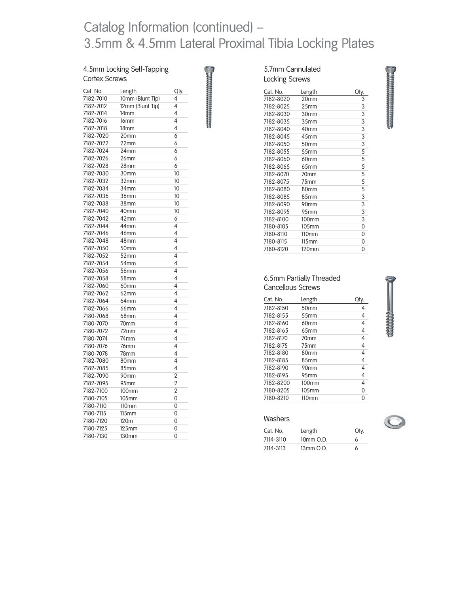## Catalog Information (continued) – 3.5mm & 4.5mm Lateral Proximal Tibia Locking Plates

**CONTRACTOR** 

#### 4.5mm Locking Self-Tapping Cortex Screws

| Cat. No.  | Length            | Qty.           |
|-----------|-------------------|----------------|
| 7182-7010 | 10mm (Blunt Tip)  | 4              |
| 7182-7012 | 12mm (Blunt Tip)  | 4              |
| 7182-7014 | 14mm              | 4              |
| 7182-7016 | 16mm              | 4              |
| 7182-7018 | 18mm              | 4              |
| 7182-7020 | 20mm              | 6              |
| 7182-7022 | 22mm              | 6              |
| 7182-7024 | 24mm              | 6              |
| 7182-7026 | 26mm              | 6              |
| 7182-7028 | 28mm              | 6              |
| 7182-7030 | 30mm              | 10             |
| 7182-7032 | 32mm              | 10             |
| 7182-7034 | 34mm              | 10             |
| 7182-7036 | 36mm              | 10             |
| 7182-7038 | 38mm              | 10             |
| 7182-7040 | 40mm              | 10             |
| 7182-7042 | 42mm              | 6              |
| 7182-7044 | 44mm              | 4              |
| 7182-7046 | 46mm              | 4              |
| 7182-7048 | 48mm              | 4              |
| 7182-7050 | 50mm              | 4              |
| 7182-7052 | 52mm              | 4              |
| 7182-7054 | 54mm              | 4              |
| 7182-7056 | 56mm              | 4              |
| 7182-7058 | 58mm              | 4              |
| 7182-7060 | 60 <sub>mm</sub>  | 4              |
| 7182-7062 | 62mm              | 4              |
| 7182-7064 | 64mm              | 4              |
| 7182-7066 | 66 <sub>mm</sub>  | 4              |
| 7180-7068 | 68mm              | 4              |
| 7180-7070 | 70mm              | 4              |
| 7180-7072 | 72mm              | 4              |
| 7180-7074 | 74mm              | 4              |
| 7180-7076 | 76mm              | 4              |
| 7180-7078 | 78mm              | 4              |
| 7182-7080 | 80mm              | 4              |
| 7182-7085 | 85mm              | 4              |
| 7182-7090 | 90 <sub>mm</sub>  | 2              |
| 7182-7095 | 95mm              | $\overline{2}$ |
| 7182-7100 | 100mm             | 2              |
| 7180-7105 | 105mm             | 0              |
| 7180-7110 | 110mm             | 0              |
| 7180-7115 | $115$ mm          | 0              |
| 7180-7120 | 120m              | 0              |
| 7180-7125 | $125$ mm          | 0              |
| 7180-7130 | 130 <sub>mm</sub> | 0              |

#### 5.7mm Cannulated Locking Screws

|           | 20mm              | Qty. |
|-----------|-------------------|------|
| 7182-8020 |                   | 3    |
| 7182-8025 | 25 <sub>mm</sub>  | 3    |
| 7182-8030 | 30mm              | 3    |
| 7182-8035 | 35mm              | 3    |
| 7182-8040 | 40mm              | 3    |
| 7182-8045 | 45mm              | 3    |
| 7182-8050 | 50mm              | 3    |
| 7182-8055 | 55mm              | 5    |
| 7182-8060 | 60mm              | 5    |
| 7182-8065 | 65 <sub>mm</sub>  | 5    |
| 7182-8070 | 70 <sub>mm</sub>  | 5    |
| 7182-8075 | 75mm              | 5    |
| 7182-8080 | 80mm              | 5    |
| 7182-8085 | 85mm              | 3    |
| 7182-8090 | 90mm              | 3    |
| 7182-8095 | 95mm              | 3    |
| 7182-8100 | 100mm             | 3    |
| 7180-8105 | 105mm             | 0    |
| 7180-8110 | 110 <sub>mm</sub> | 0    |
| 7180-8115 | 115mm             | 0    |
| 7180-8120 | 120mm             | ∩    |

# **The Community State of the American State of the American State of the American State of the American State of**

#### 6.5mm Partially Threaded Cancellous Screws

| Cat No    | Length            |   |
|-----------|-------------------|---|
| 7182-8150 | 50 <sub>mm</sub>  | 4 |
| 7182-8155 | 55 <sub>mm</sub>  | 4 |
| 7182-8160 | 60mm              | 4 |
| 7182-8165 | 65 <sub>mm</sub>  | 4 |
| 7182-8170 | 70 <sub>mm</sub>  | 4 |
| 7182-8175 | 75 <sub>mm</sub>  | 4 |
| 7182-8180 | 80 <sub>mm</sub>  | 4 |
| 7182-8185 | 8.5mm             | 4 |
| 7182-8190 | 90 <sub>mm</sub>  | 4 |
| 7182-8195 | 95 <sub>mm</sub>  | 4 |
| 7182-8200 | 100 <sub>mm</sub> | 4 |
| 7180-8205 | 105 <sub>mm</sub> | 0 |
| 7180-8210 | 110mm             | U |

#### Washers

| Cat. No.  | Length    | Otv |
|-----------|-----------|-----|
| 7114-3110 | 10mm O.D. | h   |
| 7114-3113 | 13mm O.D. |     |